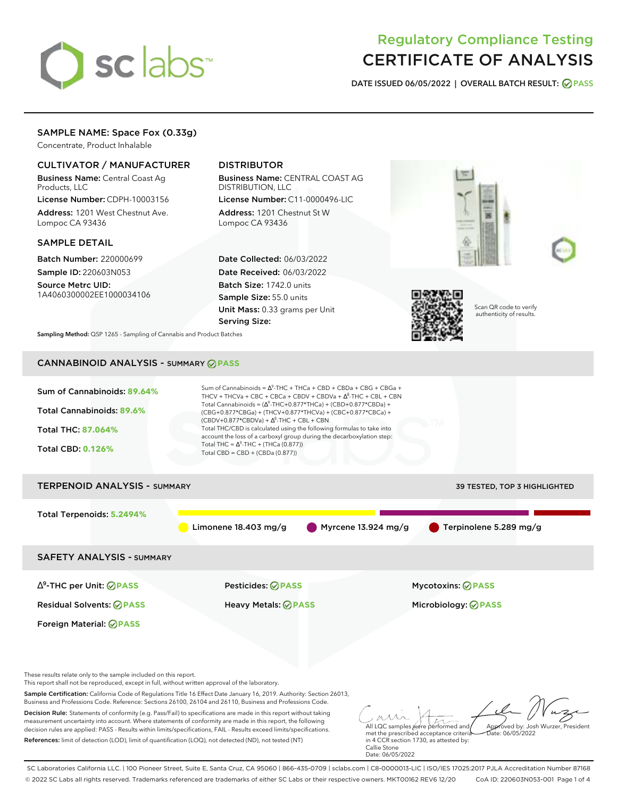# sclabs<sup>\*</sup>

## Regulatory Compliance Testing CERTIFICATE OF ANALYSIS

**DATE ISSUED 06/05/2022 | OVERALL BATCH RESULT: PASS**

### SAMPLE NAME: Space Fox (0.33g)

Concentrate, Product Inhalable

#### CULTIVATOR / MANUFACTURER

Business Name: Central Coast Ag Products, LLC

License Number: CDPH-10003156 Address: 1201 West Chestnut Ave. Lompoc CA 93436

#### SAMPLE DETAIL

Batch Number: 220000699 Sample ID: 220603N053

Source Metrc UID: 1A4060300002EE1000034106

## DISTRIBUTOR

Business Name: CENTRAL COAST AG DISTRIBUTION, LLC License Number: C11-0000496-LIC

Address: 1201 Chestnut St W Lompoc CA 93436

Date Collected: 06/03/2022 Date Received: 06/03/2022 Batch Size: 1742.0 units Sample Size: 55.0 units Unit Mass: 0.33 grams per Unit Serving Size:



Scan QR code to verify authenticity of results.

**Sampling Method:** QSP 1265 - Sampling of Cannabis and Product Batches

## CANNABINOID ANALYSIS - SUMMARY **PASS**

| Sum of Cannabinoids: 89.64%<br>Total Cannabinoids: 89.6%<br><b>Total THC: 87.064%</b><br><b>Total CBD: 0.126%</b>                                                                                                                  | Sum of Cannabinoids = $\Delta^9$ -THC + THCa + CBD + CBDa + CBG + CBGa +<br>THCV + THCVa + CBC + CBCa + CBDV + CBDVa + $\Delta^8$ -THC + CBL + CBN<br>Total Cannabinoids = $(\Delta^9$ -THC+0.877*THCa) + (CBD+0.877*CBDa) +<br>(CBG+0.877*CBGa) + (THCV+0.877*THCVa) + (CBC+0.877*CBCa) +<br>$(CBDV+0.877*CBDVa) + \Delta^8$ -THC + CBL + CBN<br>Total THC/CBD is calculated using the following formulas to take into<br>account the loss of a carboxyl group during the decarboxylation step:<br>Total THC = $\Delta^9$ -THC + (THCa (0.877))<br>Total CBD = CBD + (CBDa (0.877)) |                                               |
|------------------------------------------------------------------------------------------------------------------------------------------------------------------------------------------------------------------------------------|--------------------------------------------------------------------------------------------------------------------------------------------------------------------------------------------------------------------------------------------------------------------------------------------------------------------------------------------------------------------------------------------------------------------------------------------------------------------------------------------------------------------------------------------------------------------------------------|-----------------------------------------------|
| <b>TERPENOID ANALYSIS - SUMMARY</b>                                                                                                                                                                                                |                                                                                                                                                                                                                                                                                                                                                                                                                                                                                                                                                                                      | 39 TESTED, TOP 3 HIGHLIGHTED                  |
| Total Terpenoids: 5.2494%                                                                                                                                                                                                          | Limonene 18.403 mg/g                                                                                                                                                                                                                                                                                                                                                                                                                                                                                                                                                                 | Terpinolene 5.289 mg/g<br>Myrcene 13.924 mg/g |
| <b>SAFETY ANALYSIS - SUMMARY</b>                                                                                                                                                                                                   |                                                                                                                                                                                                                                                                                                                                                                                                                                                                                                                                                                                      |                                               |
| ∆ <sup>9</sup> -THC per Unit: <b>⊘ PASS</b>                                                                                                                                                                                        | <b>Pesticides: ⊘ PASS</b>                                                                                                                                                                                                                                                                                                                                                                                                                                                                                                                                                            | <b>Mycotoxins: ⊘PASS</b>                      |
| <b>Residual Solvents: ØPASS</b>                                                                                                                                                                                                    | <b>Heavy Metals: ⊘ PASS</b>                                                                                                                                                                                                                                                                                                                                                                                                                                                                                                                                                          | Microbiology: <b>⊘PASS</b>                    |
| Foreign Material: <b>⊘ PASS</b>                                                                                                                                                                                                    |                                                                                                                                                                                                                                                                                                                                                                                                                                                                                                                                                                                      |                                               |
| These results relate only to the sample included on this report.<br>This report shall not be reproduced, except in full, without written approval of the laboratory.                                                               |                                                                                                                                                                                                                                                                                                                                                                                                                                                                                                                                                                                      |                                               |
| Sample Certification: California Code of Regulations Title 16 Effect Date January 16, 2019. Authority: Section 26013,<br>Business and Professions Code. Reference: Sections 26100, 26104 and 26110, Business and Professions Code. |                                                                                                                                                                                                                                                                                                                                                                                                                                                                                                                                                                                      |                                               |
| Decision Rule: Statements of conformity (e.g. Pass/Fail) to specifications are made in this report without taking                                                                                                                  | a construction and a construction of the construction of the construction of the construction of the construction of the construction of the construction of the construction of the construction of the construction of the c                                                                                                                                                                                                                                                                                                                                                       | aur                                           |

measurement uncertainty into account. Where statements of conformity are made in this report, the following decision rules are applied: PASS - Results within limits/specifications, FAIL - Results exceed limits/specifications. References: limit of detection (LOD), limit of quantification (LOQ), not detected (ND), not tested (NT)

All LQC samples were performed and met the prescribed acceptance criteria in 4 CCR section 1730, as attested by: Callie Stone Date: 06/05/2022 Approved by: Josh Wurzer, President Date: 06/05/2022

SC Laboratories California LLC. | 100 Pioneer Street, Suite E, Santa Cruz, CA 95060 | 866-435-0709 | sclabs.com | C8-0000013-LIC | ISO/IES 17025:2017 PJLA Accreditation Number 87168 © 2022 SC Labs all rights reserved. Trademarks referenced are trademarks of either SC Labs or their respective owners. MKT00162 REV6 12/20 CoA ID: 220603N053-001 Page 1 of 4